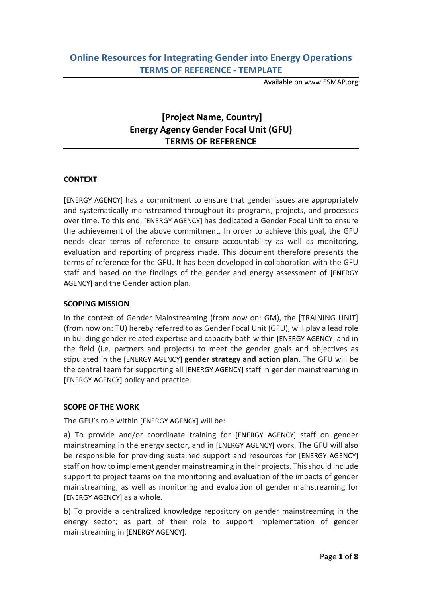Available on www.ESMAP.org

# **[Project Name, Country] Energy Agency Gender Focal Unit (GFU) TERMS OF REFERENCE**

# **CONTEXT**

[ENERGY AGENCY] has a commitment to ensure that gender issues are appropriately and systematically mainstreamed throughout its programs, projects, and processes over time. To this end, [ENERGY AGENCY] has dedicated a Gender Focal Unit to ensure the achievement of the above commitment. In order to achieve this goal, the GFU needs clear terms of reference to ensure accountability as well as monitoring, evaluation and reporting of progress made. This document therefore presents the terms of reference for the GFU. It has been developed in collaboration with the GFU staff and based on the findings of the gender and energy assessment of [ENERGY AGENCY] and the Gender action plan.

#### **SCOPING MISSION**

In the context of Gender Mainstreaming (from now on: GM), the [TRAINING UNIT] (from now on: TU) hereby referred to as Gender Focal Unit (GFU), will play a lead role in building gender-related expertise and capacity both within [ENERGY AGENCY] and in the field (i.e. partners and projects) to meet the gender goals and objectives as stipulated in the [ENERGY AGENCY] **gender strategy and action plan**. The GFU will be the central team for supporting all [ENERGY AGENCY] staff in gender mainstreaming in [ENERGY AGENCY] policy and practice.

#### **SCOPE OF THE WORK**

The GFU's role within [ENERGY AGENCY] will be:

a) To provide and/or coordinate training for [ENERGY AGENCY] staff on gender mainstreaming in the energy sector, and in [ENERGY AGENCY] work. The GFU will also be responsible for providing sustained support and resources for [ENERGY AGENCY] staff on how to implement gender mainstreaming in their projects. This should include support to project teams on the monitoring and evaluation of the impacts of gender mainstreaming, as well as monitoring and evaluation of gender mainstreaming for [ENERGY AGENCY] as a whole.

b) To provide a centralized knowledge repository on gender mainstreaming in the energy sector; as part of their role to support implementation of gender mainstreaming in [ENERGY AGENCY].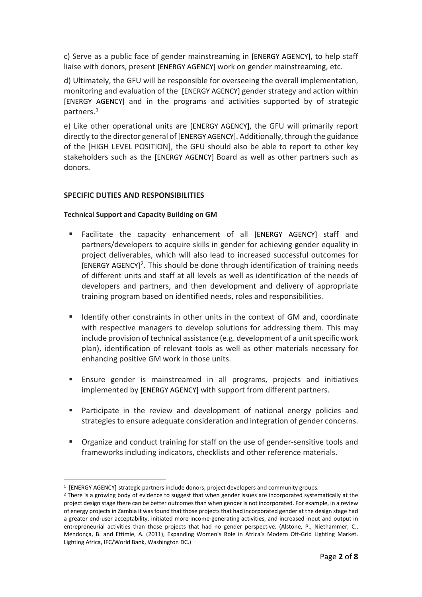c) Serve as a public face of gender mainstreaming in [ENERGY AGENCY], to help staff liaise with donors, present [ENERGY AGENCY] work on gender mainstreaming, etc.

d) Ultimately, the GFU will be responsible for overseeing the overall implementation, monitoring and evaluation of the [ENERGY AGENCY] gender strategy and action within [ENERGY AGENCY] and in the programs and activities supported by of strategic partners.[1](#page-1-0)

e) Like other operational units are [ENERGY AGENCY], the GFU will primarily report directly to the director general of [ENERGY AGENCY]. Additionally, through the guidance of the [HIGH LEVEL POSITION], the GFU should also be able to report to other key stakeholders such as the [ENERGY AGENCY] Board as well as other partners such as donors.

## **SPECIFIC DUTIES AND RESPONSIBILITIES**

#### **Technical Support and Capacity Building on GM**

- Facilitate the capacity enhancement of all [ENERGY AGENCY] staff and partners/developers to acquire skills in gender for achieving gender equality in project deliverables, which will also lead to increased successful outcomes for  $[ENERGY AGENCY]<sup>2</sup>$ . This should be done through identification of training needs of different units and staff at all levels as well as identification of the needs of developers and partners, and then development and delivery of appropriate training program based on identified needs, roles and responsibilities.
- **If Identify other constraints in other units in the context of GM and, coordinate** with respective managers to develop solutions for addressing them. This may include provision of technical assistance (e.g. development of a unit specific work plan), identification of relevant tools as well as other materials necessary for enhancing positive GM work in those units.
- Ensure gender is mainstreamed in all programs, projects and initiatives implemented by [ENERGY AGENCY] with support from different partners.
- Participate in the review and development of national energy policies and strategies to ensure adequate consideration and integration of gender concerns.
- **P** Organize and conduct training for staff on the use of gender-sensitive tools and frameworks including indicators, checklists and other reference materials.

<sup>1 [</sup>ENERGY AGENCY] strategic partners include donors, project developers and community groups.  $\overline{\phantom{a}}$ 

<span id="page-1-1"></span><span id="page-1-0"></span><sup>&</sup>lt;sup>2</sup> There is a growing body of evidence to suggest that when gender issues are incorporated systematically at the project design stage there can be better outcomes than when gender is not incorporated. For example, in a review of energy projects in Zambia it was found that those projects that had incorporated gender at the design stage had a greater end-user acceptability, initiated more income-generating activities, and increased input and output in entrepreneurial activities than those projects that had no gender perspective. (Alstone, P., Niethammer, C., Mendonça, B. and Eftimie, A. (2011), Expanding Women's Role in Africa's Modern Off-Grid Lighting Market. Lighting Africa, IFC/World Bank, Washington DC.)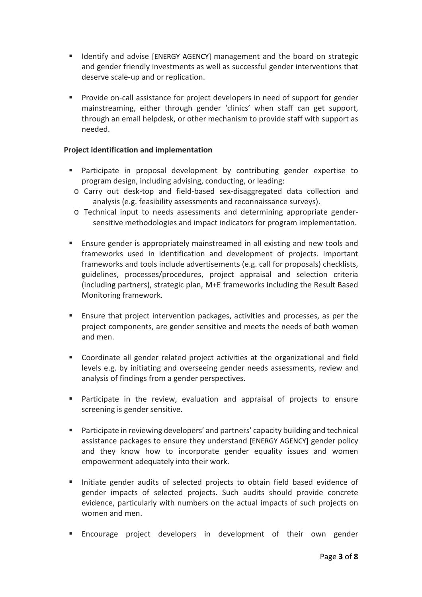- **If Identify and advise [ENERGY AGENCY] management and the board on strategic** and gender friendly investments as well as successful gender interventions that deserve scale-up and or replication.
- Provide on-call assistance for project developers in need of support for gender mainstreaming, either through gender 'clinics' when staff can get support, through an email helpdesk, or other mechanism to provide staff with support as needed.

## **Project identification and implementation**

- Participate in proposal development by contributing gender expertise to program design, including advising, conducting, or leading:
- o Carry out desk-top and field-based sex-disaggregated data collection and analysis (e.g. feasibility assessments and reconnaissance surveys).
- o Technical input to needs assessments and determining appropriate gendersensitive methodologies and impact indicators for program implementation.
- Ensure gender is appropriately mainstreamed in all existing and new tools and frameworks used in identification and development of projects. Important frameworks and tools include advertisements (e.g. call for proposals) checklists, guidelines, processes/procedures, project appraisal and selection criteria (including partners), strategic plan, M+E frameworks including the Result Based Monitoring framework.
- Ensure that project intervention packages, activities and processes, as per the project components, are gender sensitive and meets the needs of both women and men.
- Coordinate all gender related project activities at the organizational and field levels e.g. by initiating and overseeing gender needs assessments, review and analysis of findings from a gender perspectives.
- Participate in the review, evaluation and appraisal of projects to ensure screening is gender sensitive.
- Participate in reviewing developers' and partners' capacity building and technical assistance packages to ensure they understand [ENERGY AGENCY] gender policy and they know how to incorporate gender equality issues and women empowerment adequately into their work.
- Initiate gender audits of selected projects to obtain field based evidence of gender impacts of selected projects. Such audits should provide concrete evidence, particularly with numbers on the actual impacts of such projects on women and men.
- Encourage project developers in development of their own gender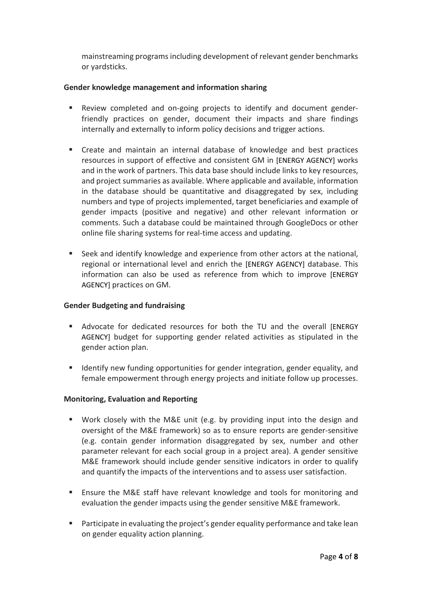mainstreaming programs including development of relevant gender benchmarks or yardsticks.

## **Gender knowledge management and information sharing**

- Review completed and on-going projects to identify and document genderfriendly practices on gender, document their impacts and share findings internally and externally to inform policy decisions and trigger actions.
- Create and maintain an internal database of knowledge and best practices resources in support of effective and consistent GM in [ENERGY AGENCY] works and in the work of partners. This data base should include links to key resources, and project summaries as available. Where applicable and available, information in the database should be quantitative and disaggregated by sex, including numbers and type of projects implemented, target beneficiaries and example of gender impacts (positive and negative) and other relevant information or comments. Such a database could be maintained through GoogleDocs or other online file sharing systems for real-time access and updating.
- Seek and identify knowledge and experience from other actors at the national, regional or international level and enrich the [ENERGY AGENCY] database. This information can also be used as reference from which to improve [ENERGY AGENCY] practices on GM.

#### **Gender Budgeting and fundraising**

- Advocate for dedicated resources for both the TU and the overall [ENERGY AGENCY] budget for supporting gender related activities as stipulated in the gender action plan.
- **If Identify new funding opportunities for gender integration, gender equality, and** female empowerment through energy projects and initiate follow up processes.

# **Monitoring, Evaluation and Reporting**

- Work closely with the M&E unit (e.g. by providing input into the design and oversight of the M&E framework) so as to ensure reports are gender-sensitive (e.g. contain gender information disaggregated by sex, number and other parameter relevant for each social group in a project area). A gender sensitive M&E framework should include gender sensitive indicators in order to qualify and quantify the impacts of the interventions and to assess user satisfaction.
- **Ensure the M&E staff have relevant knowledge and tools for monitoring and** evaluation the gender impacts using the gender sensitive M&E framework.
- **Participate in evaluating the project's gender equality performance and take lean** on gender equality action planning.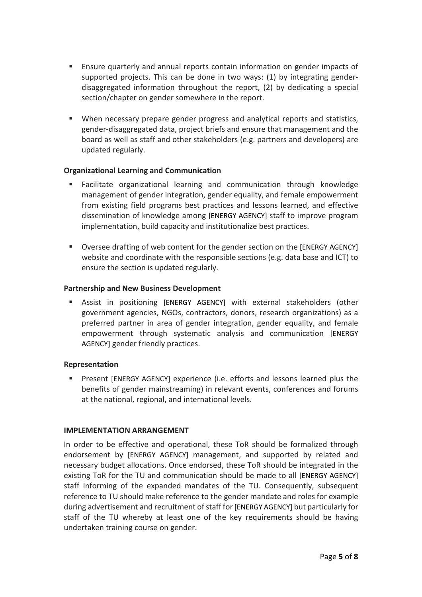- Ensure quarterly and annual reports contain information on gender impacts of supported projects. This can be done in two ways: (1) by integrating genderdisaggregated information throughout the report, (2) by dedicating a special section/chapter on gender somewhere in the report.
- When necessary prepare gender progress and analytical reports and statistics, gender-disaggregated data, project briefs and ensure that management and the board as well as staff and other stakeholders (e.g. partners and developers) are updated regularly.

## **Organizational Learning and Communication**

- Facilitate organizational learning and communication through knowledge management of gender integration, gender equality, and female empowerment from existing field programs best practices and lessons learned, and effective dissemination of knowledge among [ENERGY AGENCY] staff to improve program implementation, build capacity and institutionalize best practices.
- **Diversee drafting of web content for the gender section on the [ENERGY AGENCY]** website and coordinate with the responsible sections (e.g. data base and ICT) to ensure the section is updated regularly.

## **Partnership and New Business Development**

 Assist in positioning [ENERGY AGENCY] with external stakeholders (other government agencies, NGOs, contractors, donors, research organizations) as a preferred partner in area of gender integration, gender equality, and female empowerment through systematic analysis and communication [ENERGY AGENCY] gender friendly practices.

# **Representation**

**Present [ENERGY AGENCY] experience (i.e. efforts and lessons learned plus the** benefits of gender mainstreaming) in relevant events, conferences and forums at the national, regional, and international levels.

#### **IMPLEMENTATION ARRANGEMENT**

In order to be effective and operational, these ToR should be formalized through endorsement by [ENERGY AGENCY] management, and supported by related and necessary budget allocations. Once endorsed, these ToR should be integrated in the existing ToR for the TU and communication should be made to all [ENERGY AGENCY] staff informing of the expanded mandates of the TU. Consequently, subsequent reference to TU should make reference to the gender mandate and roles for example during advertisement and recruitment of staff for [ENERGY AGENCY] but particularly for staff of the TU whereby at least one of the key requirements should be having undertaken training course on gender.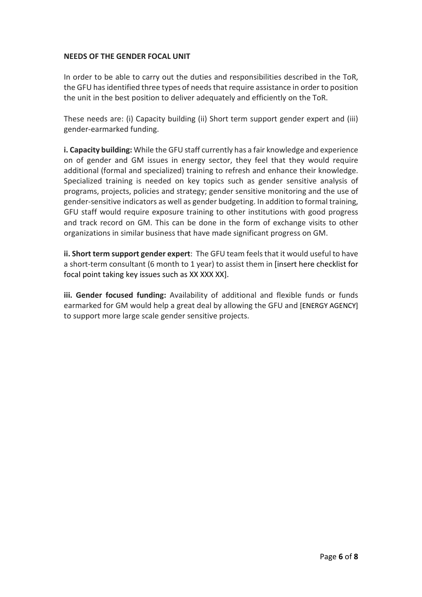#### **NEEDS OF THE GENDER FOCAL UNIT**

In order to be able to carry out the duties and responsibilities described in the ToR, the GFU has identified three types of needs that require assistance in order to position the unit in the best position to deliver adequately and efficiently on the ToR.

These needs are: (i) Capacity building (ii) Short term support gender expert and (iii) gender-earmarked funding.

**i. Capacity building:** While the GFU staff currently has a fair knowledge and experience on of gender and GM issues in energy sector, they feel that they would require additional (formal and specialized) training to refresh and enhance their knowledge. Specialized training is needed on key topics such as gender sensitive analysis of programs, projects, policies and strategy; gender sensitive monitoring and the use of gender-sensitive indicators as well as gender budgeting. In addition to formal training, GFU staff would require exposure training to other institutions with good progress and track record on GM. This can be done in the form of exchange visits to other organizations in similar business that have made significant progress on GM.

**ii. Short term support gender expert**: The GFU team feels that it would useful to have a short-term consultant (6 month to 1 year) to assist them in [insert here checklist for focal point taking key issues such as XX XXX XX].

**iii. Gender focused funding:** Availability of additional and flexible funds or funds earmarked for GM would help a great deal by allowing the GFU and [ENERGY AGENCY] to support more large scale gender sensitive projects.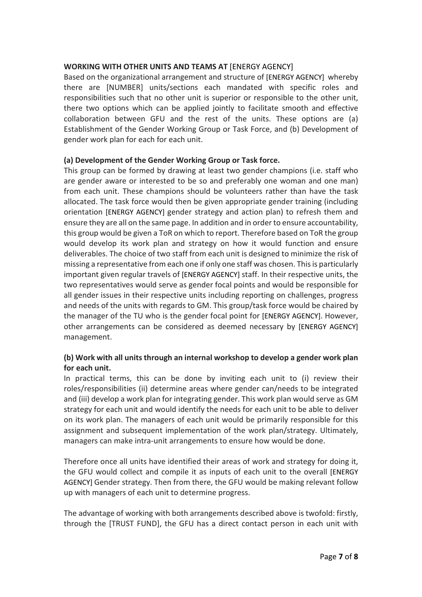# **WORKING WITH OTHER UNITS AND TEAMS AT** [ENERGY AGENCY]

Based on the organizational arrangement and structure of [ENERGY AGENCY] whereby there are [NUMBER] units/sections each mandated with specific roles and responsibilities such that no other unit is superior or responsible to the other unit, there two options which can be applied jointly to facilitate smooth and effective collaboration between GFU and the rest of the units. These options are (a) Establishment of the Gender Working Group or Task Force, and (b) Development of gender work plan for each for each unit.

## **(a) Development of the Gender Working Group or Task force.**

This group can be formed by drawing at least two gender champions (i.e. staff who are gender aware or interested to be so and preferably one woman and one man) from each unit. These champions should be volunteers rather than have the task allocated. The task force would then be given appropriate gender training (including orientation [ENERGY AGENCY] gender strategy and action plan) to refresh them and ensure they are all on the same page. In addition and in order to ensure accountability, this group would be given a ToR on which to report. Therefore based on ToR the group would develop its work plan and strategy on how it would function and ensure deliverables. The choice of two staff from each unit is designed to minimize the risk of missing a representative from each one if only one staff was chosen. This is particularly important given regular travels of [ENERGY AGENCY] staff. In their respective units, the two representatives would serve as gender focal points and would be responsible for all gender issues in their respective units including reporting on challenges, progress and needs of the units with regards to GM. This group/task force would be chaired by the manager of the TU who is the gender focal point for [ENERGY AGENCY]. However, other arrangements can be considered as deemed necessary by [ENERGY AGENCY] management.

# **(b) Work with all units through an internal workshop to develop a gender work plan for each unit.**

In practical terms, this can be done by inviting each unit to (i) review their roles/responsibilities (ii) determine areas where gender can/needs to be integrated and (iii) develop a work plan for integrating gender. This work plan would serve as GM strategy for each unit and would identify the needs for each unit to be able to deliver on its work plan. The managers of each unit would be primarily responsible for this assignment and subsequent implementation of the work plan/strategy. Ultimately, managers can make intra-unit arrangements to ensure how would be done.

Therefore once all units have identified their areas of work and strategy for doing it, the GFU would collect and compile it as inputs of each unit to the overall [ENERGY AGENCY] Gender strategy. Then from there, the GFU would be making relevant follow up with managers of each unit to determine progress.

The advantage of working with both arrangements described above is twofold: firstly, through the [TRUST FUND], the GFU has a direct contact person in each unit with